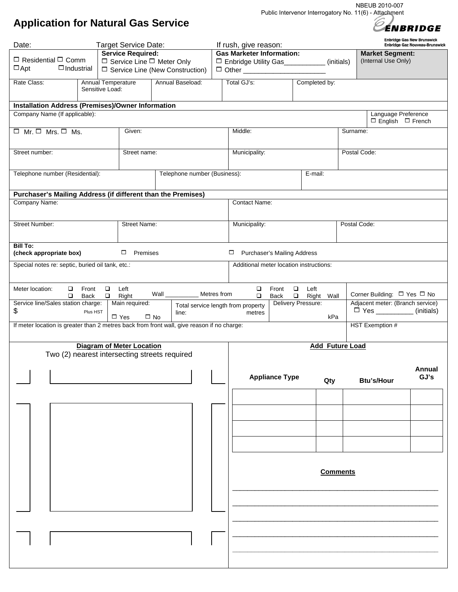NBEUB 2010-007 Public Intervenor Interrogatory No. 11(6) - Attachment

## **Application for Natural Gas Service**

ÉNBRIDGE **Enbridge Gas New Brunswick** 

| Date:                                                                                      |                          | Target Service Date:             |                                        |                                  | If rush, give reason:                                                                             |                                         |               |                        |                              | Enbridge Gaz Nouveau-Brunswick |  |
|--------------------------------------------------------------------------------------------|--------------------------|----------------------------------|----------------------------------------|----------------------------------|---------------------------------------------------------------------------------------------------|-----------------------------------------|---------------|------------------------|------------------------------|--------------------------------|--|
|                                                                                            | <b>Service Required:</b> |                                  |                                        | <b>Gas Marketer Information:</b> |                                                                                                   |                                         |               | <b>Market Segment:</b> |                              |                                |  |
| $\Box$ Residential $\Box$ Comm                                                             |                          |                                  | $\Box$ Service Line $\Box$ Meter Only  |                                  | □ Enbridge Utility Gas___________(initials)                                                       |                                         |               |                        | (Internal Use Only)          |                                |  |
| $\Box$ Apt<br>$\Box$ Industrial                                                            |                          |                                  | $\Box$ Service Line (New Construction) |                                  |                                                                                                   |                                         |               |                        |                              |                                |  |
| Rate Class:                                                                                | Annual Temperature       |                                  | Annual Baseload:                       |                                  | Total GJ's:                                                                                       |                                         | Completed by: |                        |                              |                                |  |
|                                                                                            | Sensitive Load:          |                                  |                                        |                                  |                                                                                                   |                                         |               |                        |                              |                                |  |
|                                                                                            |                          |                                  |                                        |                                  |                                                                                                   |                                         |               |                        |                              |                                |  |
| <b>Installation Address (Premises)/Owner Information</b>                                   |                          |                                  |                                        |                                  |                                                                                                   |                                         |               |                        |                              |                                |  |
| Company Name (If applicable):                                                              |                          |                                  |                                        |                                  |                                                                                                   |                                         |               |                        | Language Preference          |                                |  |
|                                                                                            |                          |                                  |                                        |                                  |                                                                                                   |                                         |               |                        | $\Box$ English $\Box$ French |                                |  |
| $\Box$ Mr. $\Box$ Mrs. $\Box$ Ms.                                                          |                          |                                  | Given:                                 |                                  |                                                                                                   | Middle:                                 |               |                        | Surname:                     |                                |  |
|                                                                                            |                          |                                  |                                        |                                  |                                                                                                   |                                         |               |                        |                              |                                |  |
| Street number:                                                                             |                          | Street name:                     |                                        |                                  | Municipality:                                                                                     |                                         |               | Postal Code:           |                              |                                |  |
|                                                                                            |                          |                                  |                                        |                                  |                                                                                                   |                                         |               |                        |                              |                                |  |
|                                                                                            |                          |                                  |                                        |                                  |                                                                                                   |                                         |               |                        |                              |                                |  |
| Telephone number (Residential):                                                            |                          | Telephone number (Business):     |                                        |                                  | E-mail:                                                                                           |                                         |               |                        |                              |                                |  |
|                                                                                            |                          |                                  |                                        |                                  |                                                                                                   |                                         |               |                        |                              |                                |  |
| Purchaser's Mailing Address (if different than the Premises)                               |                          |                                  |                                        |                                  |                                                                                                   |                                         |               |                        |                              |                                |  |
| Company Name:                                                                              |                          |                                  |                                        |                                  |                                                                                                   | <b>Contact Name:</b>                    |               |                        |                              |                                |  |
|                                                                                            |                          |                                  |                                        |                                  |                                                                                                   |                                         |               |                        |                              |                                |  |
| <b>Street Number:</b>                                                                      |                          |                                  |                                        |                                  |                                                                                                   |                                         |               |                        |                              |                                |  |
|                                                                                            |                          | <b>Street Name:</b>              |                                        |                                  | Municipality:                                                                                     |                                         |               | Postal Code:           |                              |                                |  |
|                                                                                            |                          |                                  |                                        |                                  |                                                                                                   |                                         |               |                        |                              |                                |  |
| <b>Bill To:</b>                                                                            |                          |                                  |                                        |                                  |                                                                                                   |                                         |               |                        |                              |                                |  |
| (check appropriate box)                                                                    |                          | □<br>Premises                    |                                        |                                  | $\Box$                                                                                            | <b>Purchaser's Mailing Address</b>      |               |                        |                              |                                |  |
| Special notes re: septic, buried oil tank, etc.:                                           |                          |                                  |                                        |                                  |                                                                                                   | Additional meter location instructions: |               |                        |                              |                                |  |
|                                                                                            |                          |                                  |                                        |                                  |                                                                                                   |                                         |               |                        |                              |                                |  |
|                                                                                            |                          |                                  |                                        |                                  |                                                                                                   |                                         |               |                        |                              |                                |  |
| Meter location:<br>Front<br>$\Box$                                                         | $\Box$                   | Left                             |                                        |                                  | □                                                                                                 | $\Box$<br>Front                         | Left          |                        |                              |                                |  |
| Metres from<br>Wall $\_\_$<br>Back<br>$\Box$<br>Right<br>❏                                 |                          |                                  |                                        |                                  | Corner Building: □ Yes □ No<br>$\Box$<br>Right Wall<br>Back<br>$\Box$                             |                                         |               |                        |                              |                                |  |
| Service line/Sales station charge:<br>Main required:<br>Total service length from property |                          |                                  |                                        |                                  | Adjacent meter: (Branch service)<br>Delivery Pressure:<br>$\square$ Yes ______________ (initials) |                                         |               |                        |                              |                                |  |
| \$<br>Plus HST                                                                             |                          | $\square$ Yes                    | line:<br>$\square$ No                  |                                  | metres                                                                                            |                                         | kPa           |                        |                              |                                |  |
| If meter location is greater than 2 metres back from front wall, give reason if no charge: |                          |                                  |                                        |                                  |                                                                                                   |                                         |               |                        | <b>HST Exemption #</b>       |                                |  |
|                                                                                            |                          |                                  |                                        |                                  |                                                                                                   |                                         |               |                        |                              |                                |  |
|                                                                                            |                          |                                  |                                        |                                  |                                                                                                   |                                         |               |                        |                              |                                |  |
| Two (2) nearest intersecting streets required                                              |                          | <b>Diagram of Meter Location</b> |                                        |                                  | <b>Add Future Load</b>                                                                            |                                         |               |                        |                              |                                |  |
|                                                                                            |                          |                                  |                                        |                                  |                                                                                                   |                                         |               |                        |                              |                                |  |
|                                                                                            |                          |                                  |                                        |                                  |                                                                                                   |                                         |               |                        |                              | Annual                         |  |
|                                                                                            |                          |                                  |                                        |                                  |                                                                                                   | <b>Appliance Type</b>                   |               |                        |                              | GJ's                           |  |
|                                                                                            |                          |                                  |                                        |                                  |                                                                                                   |                                         | Qty           |                        | <b>Btu's/Hour</b>            |                                |  |
|                                                                                            |                          |                                  |                                        |                                  |                                                                                                   |                                         |               |                        |                              |                                |  |
|                                                                                            |                          |                                  |                                        |                                  |                                                                                                   |                                         |               |                        |                              |                                |  |
|                                                                                            |                          |                                  |                                        |                                  |                                                                                                   |                                         |               |                        |                              |                                |  |
|                                                                                            |                          |                                  |                                        |                                  |                                                                                                   |                                         |               |                        |                              |                                |  |
|                                                                                            |                          |                                  |                                        |                                  |                                                                                                   |                                         |               |                        |                              |                                |  |
|                                                                                            |                          |                                  |                                        |                                  |                                                                                                   |                                         |               |                        |                              |                                |  |
|                                                                                            |                          |                                  |                                        |                                  |                                                                                                   |                                         |               |                        |                              |                                |  |
|                                                                                            |                          |                                  |                                        |                                  |                                                                                                   |                                         |               |                        |                              |                                |  |
|                                                                                            |                          |                                  |                                        |                                  |                                                                                                   |                                         |               |                        |                              |                                |  |
|                                                                                            |                          |                                  |                                        |                                  | <b>Comments</b>                                                                                   |                                         |               |                        |                              |                                |  |
|                                                                                            |                          |                                  |                                        |                                  |                                                                                                   |                                         |               |                        |                              |                                |  |
|                                                                                            |                          |                                  |                                        |                                  |                                                                                                   |                                         |               |                        |                              |                                |  |
|                                                                                            |                          |                                  |                                        |                                  |                                                                                                   |                                         |               |                        |                              |                                |  |
|                                                                                            |                          |                                  |                                        |                                  |                                                                                                   |                                         |               |                        |                              |                                |  |
|                                                                                            |                          |                                  |                                        |                                  |                                                                                                   |                                         |               |                        |                              |                                |  |
|                                                                                            |                          |                                  |                                        |                                  |                                                                                                   |                                         |               |                        |                              |                                |  |
|                                                                                            |                          |                                  |                                        |                                  |                                                                                                   |                                         |               |                        |                              |                                |  |
|                                                                                            |                          |                                  |                                        |                                  |                                                                                                   |                                         |               |                        |                              |                                |  |
|                                                                                            |                          |                                  |                                        |                                  |                                                                                                   |                                         |               |                        |                              |                                |  |
|                                                                                            |                          |                                  |                                        |                                  |                                                                                                   |                                         |               |                        |                              |                                |  |
|                                                                                            |                          |                                  |                                        |                                  |                                                                                                   |                                         |               |                        |                              |                                |  |